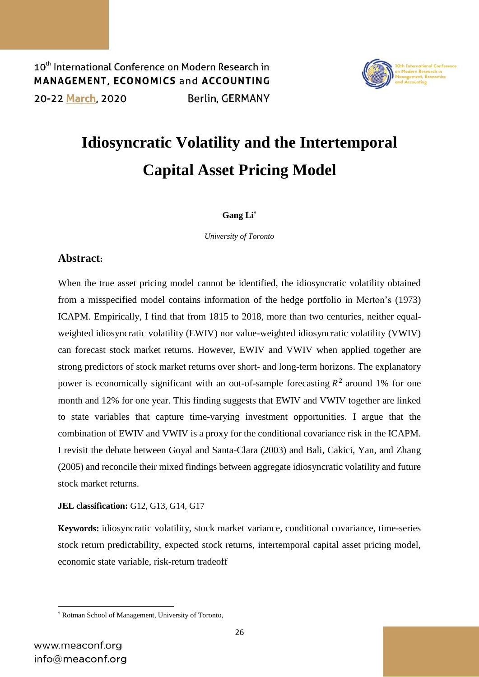10<sup>th</sup> International Conference on Modern Research in MANAGEMENT. ECONOMICS and ACCOUNTING 20-22 March, 2020 **Berlin, GERMANY** 



# **Idiosyncratic Volatility and the Intertemporal Capital Asset Pricing Model**

#### **Gang Li†**

*University of Toronto*

### **Abstract:**

When the true asset pricing model cannot be identified, the idiosyncratic volatility obtained from a misspecified model contains information of the hedge portfolio in Merton's (1973) ICAPM. Empirically, I find that from 1815 to 2018, more than two centuries, neither equalweighted idiosyncratic volatility (EWIV) nor value-weighted idiosyncratic volatility (VWIV) can forecast stock market returns. However, EWIV and VWIV when applied together are strong predictors of stock market returns over short- and long-term horizons. The explanatory power is economically significant with an out-of-sample forecasting  $R^2$  around 1% for one month and 12% for one year. This finding suggests that EWIV and VWIV together are linked to state variables that capture time-varying investment opportunities. I argue that the combination of EWIV and VWIV is a proxy for the conditional covariance risk in the ICAPM. I revisit the debate between Goyal and Santa-Clara (2003) and Bali, Cakici, Yan, and Zhang (2005) and reconcile their mixed findings between aggregate idiosyncratic volatility and future stock market returns.

**JEL classification:** G12, G13, G14, G17

**Keywords:** idiosyncratic volatility, stock market variance, conditional covariance, time-series stock return predictability, expected stock returns, intertemporal capital asset pricing model, economic state variable, risk-return tradeoff

**<sup>.</sup>** † Rotman School of Management, University of Toronto,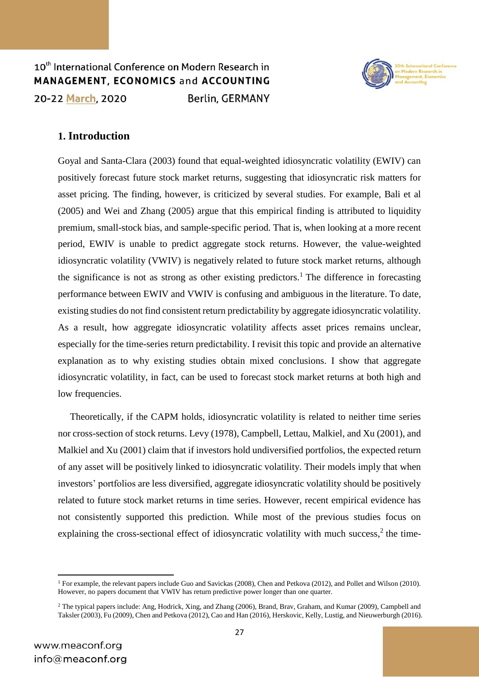10th International Conference on Modern Research in MANAGEMENT, ECONOMICS and ACCOUNTING 20-22 March, 2020 **Berlin, GERMANY** 



### **1. Introduction**

Goyal and Santa-Clara (2003) found that equal-weighted idiosyncratic volatility (EWIV) can positively forecast future stock market returns, suggesting that idiosyncratic risk matters for asset pricing. The finding, however, is criticized by several studies. For example, Bali et al (2005) and Wei and Zhang (2005) argue that this empirical finding is attributed to liquidity premium, small-stock bias, and sample-specific period. That is, when looking at a more recent period, EWIV is unable to predict aggregate stock returns. However, the value-weighted idiosyncratic volatility (VWIV) is negatively related to future stock market returns, although the significance is not as strong as other existing predictors.<sup>1</sup> The difference in forecasting performance between EWIV and VWIV is confusing and ambiguous in the literature. To date, existing studies do not find consistent return predictability by aggregate idiosyncratic volatility. As a result, how aggregate idiosyncratic volatility affects asset prices remains unclear, especially for the time-series return predictability. I revisit this topic and provide an alternative explanation as to why existing studies obtain mixed conclusions. I show that aggregate idiosyncratic volatility, in fact, can be used to forecast stock market returns at both high and low frequencies.

 Theoretically, if the CAPM holds, idiosyncratic volatility is related to neither time series nor cross-section of stock returns. Levy (1978), Campbell, Lettau, Malkiel, and Xu (2001), and Malkiel and Xu (2001) claim that if investors hold undiversified portfolios, the expected return of any asset will be positively linked to idiosyncratic volatility. Their models imply that when investors' portfolios are less diversified, aggregate idiosyncratic volatility should be positively related to future stock market returns in time series. However, recent empirical evidence has not consistently supported this prediction. While most of the previous studies focus on explaining the cross-sectional effect of idiosyncratic volatility with much success, $2$  the time-

 $\overline{a}$ 

<sup>1</sup> For example, the relevant papers include Guo and Savickas (2008), Chen and Petkova (2012), and Pollet and Wilson (2010). However, no papers document that VWIV has return predictive power longer than one quarter.

<sup>2</sup> The typical papers include: Ang, Hodrick, Xing, and Zhang (2006), Brand, Brav, Graham, and Kumar (2009), Campbell and Taksler (2003), Fu (2009), Chen and Petkova (2012), Cao and Han (2016), Herskovic, Kelly, Lustig, and Nieuwerburgh (2016).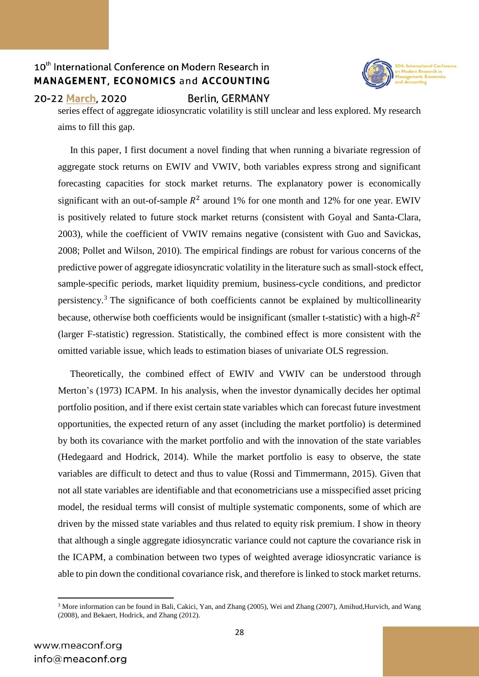

#### 20-22 March, 2020

Berlin, GERMANY

series effect of aggregate idiosyncratic volatility is still unclear and less explored. My research aims to fill this gap.

 In this paper, I first document a novel finding that when running a bivariate regression of aggregate stock returns on EWIV and VWIV, both variables express strong and significant forecasting capacities for stock market returns. The explanatory power is economically significant with an out-of-sample  $R^2$  around 1% for one month and 12% for one year. EWIV is positively related to future stock market returns (consistent with Goyal and Santa-Clara, 2003), while the coefficient of VWIV remains negative (consistent with Guo and Savickas, 2008; Pollet and Wilson, 2010). The empirical findings are robust for various concerns of the predictive power of aggregate idiosyncratic volatility in the literature such as small-stock effect, sample-specific periods, market liquidity premium, business-cycle conditions, and predictor persistency.<sup>3</sup> The significance of both coefficients cannot be explained by multicollinearity because, otherwise both coefficients would be insignificant (smaller t-statistic) with a high- $R^2$ (larger F-statistic) regression. Statistically, the combined effect is more consistent with the omitted variable issue, which leads to estimation biases of univariate OLS regression.

 Theoretically, the combined effect of EWIV and VWIV can be understood through Merton's (1973) ICAPM. In his analysis, when the investor dynamically decides her optimal portfolio position, and if there exist certain state variables which can forecast future investment opportunities, the expected return of any asset (including the market portfolio) is determined by both its covariance with the market portfolio and with the innovation of the state variables (Hedegaard and Hodrick, 2014). While the market portfolio is easy to observe, the state variables are difficult to detect and thus to value (Rossi and Timmermann, 2015). Given that not all state variables are identifiable and that econometricians use a misspecified asset pricing model, the residual terms will consist of multiple systematic components, some of which are driven by the missed state variables and thus related to equity risk premium. I show in theory that although a single aggregate idiosyncratic variance could not capture the covariance risk in the ICAPM, a combination between two types of weighted average idiosyncratic variance is able to pin down the conditional covariance risk, and therefore is linked to stock market returns.

**<sup>.</sup>** <sup>3</sup> More information can be found in Bali, Cakici, Yan, and Zhang (2005), Wei and Zhang (2007), Amihud,Hurvich, and Wang (2008), and Bekaert, Hodrick, and Zhang (2012).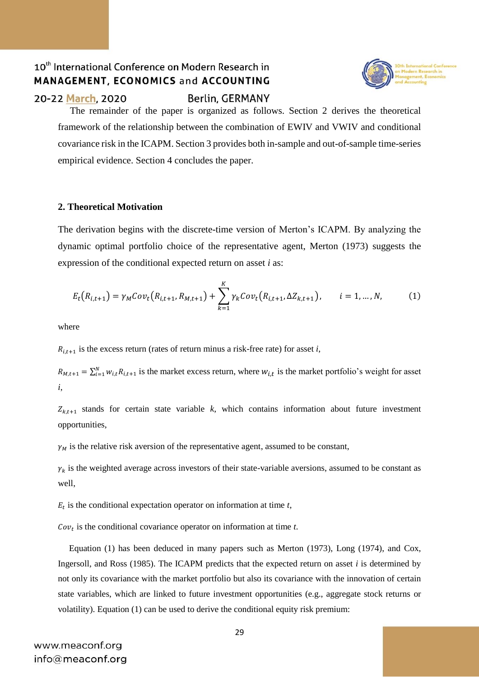

**Berlin, GERMANY** 



 The remainder of the paper is organized as follows. Section 2 derives the theoretical framework of the relationship between the combination of EWIV and VWIV and conditional covariance risk in the ICAPM. Section 3 provides both in-sample and out-of-sample time-series empirical evidence. Section 4 concludes the paper.

#### **2. Theoretical Motivation**

The derivation begins with the discrete-time version of Merton's ICAPM. By analyzing the dynamic optimal portfolio choice of the representative agent, Merton (1973) suggests the expression of the conditional expected return on asset *i* as:

$$
E_t(R_{i,t+1}) = \gamma_M Cov_t(R_{i,t+1}, R_{M,t+1}) + \sum_{k=1}^K \gamma_k Cov_t(R_{i,t+1}, \Delta Z_{k,t+1}), \qquad i = 1, ..., N,
$$
 (1)

where

 $R_{i,t+1}$  is the excess return (rates of return minus a risk-free rate) for asset *i*,

 $R_{M,t+1} = \sum_{i=1}^{N} w_{i,t} R_{i,t+1}$  is the market excess return, where  $w_{i,t}$  is the market portfolio's weight for asset *i*,

 $Z_{k,t+1}$  stands for certain state variable *k*, which contains information about future investment opportunities,

 $\gamma_M$  is the relative risk aversion of the representative agent, assumed to be constant,

 $\gamma_k$  is the weighted average across investors of their state-variable aversions, assumed to be constant as well,

 $E_t$  is the conditional expectation operator on information at time  $t$ ,

 $Cov_t$  is the conditional covariance operator on information at time  $t$ .

 Equation (1) has been deduced in many papers such as Merton (1973), Long (1974), and Cox, Ingersoll, and Ross (1985). The ICAPM predicts that the expected return on asset *i* is determined by not only its covariance with the market portfolio but also its covariance with the innovation of certain state variables, which are linked to future investment opportunities (e.g., aggregate stock returns or volatility). Equation (1) can be used to derive the conditional equity risk premium: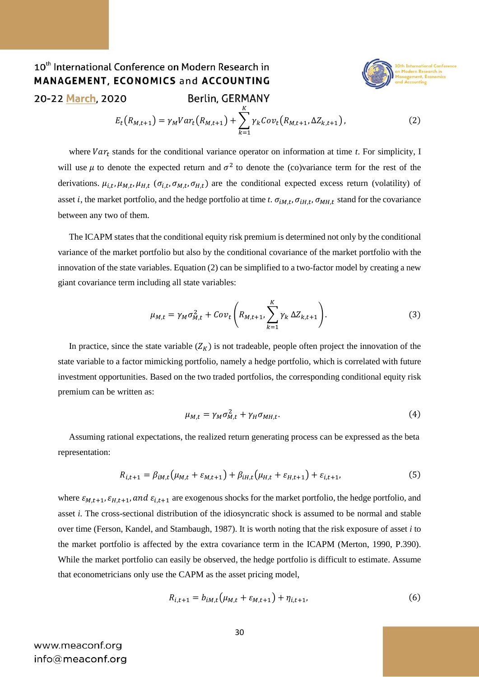#### 10<sup>th</sup> International Conference on Modern Research in MANAGEMENT, ECONOMICS and ACCOUNTING 20-22 March, 2020 **Berlin, GERMANY** K



$$
E_t(R_{M,t+1}) = \gamma_M Var_t(R_{M,t+1}) + \sum_{k=1}^K \gamma_k Cov_t(R_{M,t+1}, \Delta Z_{k,t+1}),
$$
\n(2)

where  $Var_t$  stands for the conditional variance operator on information at time  $t$ . For simplicity, I will use  $\mu$  to denote the expected return and  $\sigma^2$  to denote the (co)variance term for the rest of the derivations.  $\mu_{i,t}, \mu_{M,t}, \mu_{H,t}$  ( $\sigma_{i,t}, \sigma_{M,t}, \sigma_{H,t}$ ) are the conditional expected excess return (volatility) of asset *i*, the market portfolio, and the hedge portfolio at time *t*.  $\sigma_{iM,t}$ ,  $\sigma_{iH,t}$ ,  $\sigma_{MH,t}$  stand for the covariance between any two of them.

 The ICAPM states that the conditional equity risk premium is determined not only by the conditional variance of the market portfolio but also by the conditional covariance of the market portfolio with the innovation of the state variables. Equation (2) can be simplified to a two-factor model by creating a new giant covariance term including all state variables:

$$
\mu_{M,t} = \gamma_M \sigma_{M,t}^2 + Cov_t \left( R_{M,t+1}, \sum_{k=1}^K \gamma_k \Delta Z_{k,t+1} \right). \tag{3}
$$

In practice, since the state variable  $(Z_K)$  is not tradeable, people often project the innovation of the state variable to a factor mimicking portfolio, namely a hedge portfolio, which is correlated with future investment opportunities. Based on the two traded portfolios, the corresponding conditional equity risk premium can be written as:

$$
\mu_{M,t} = \gamma_M \sigma_{M,t}^2 + \gamma_H \sigma_{MH,t}.\tag{4}
$$

 Assuming rational expectations, the realized return generating process can be expressed as the beta representation:

$$
R_{i,t+1} = \beta_{iM,t} \left( \mu_{M,t} + \varepsilon_{M,t+1} \right) + \beta_{iH,t} \left( \mu_{H,t} + \varepsilon_{H,t+1} \right) + \varepsilon_{i,t+1}, \tag{5}
$$

where  $\varepsilon_{M,t+1}, \varepsilon_{H,t+1}$ , and  $\varepsilon_{i,t+1}$  are exogenous shocks for the market portfolio, the hedge portfolio, and asset *i*. The cross-sectional distribution of the idiosyncratic shock is assumed to be normal and stable over time (Ferson, Kandel, and Stambaugh, 1987). It is worth noting that the risk exposure of asset *i* to the market portfolio is affected by the extra covariance term in the ICAPM (Merton, 1990, P.390). While the market portfolio can easily be observed, the hedge portfolio is difficult to estimate. Assume that econometricians only use the CAPM as the asset pricing model,

$$
R_{i,t+1} = b_{iM,t} \left( \mu_{M,t} + \varepsilon_{M,t+1} \right) + \eta_{i,t+1}, \tag{6}
$$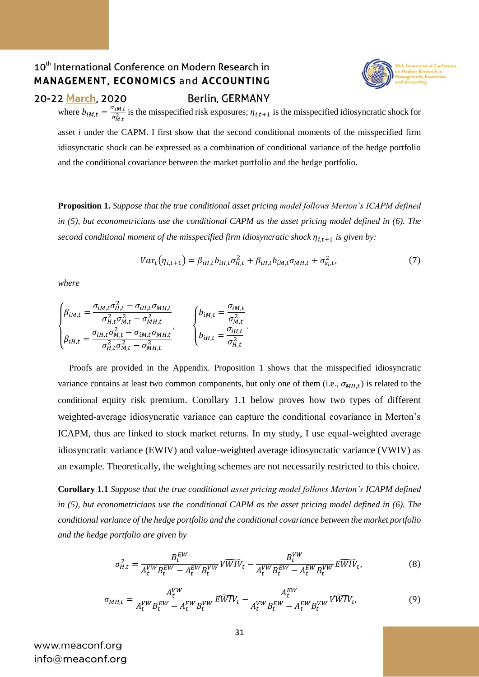

#### 20-22 March, 2020

**Berlin, GERMANY** 

where  $b_{iM,t} = \frac{\sigma_{iM,t}}{\sigma^2}$  $\frac{\partial u_{i} u_{i}}{\partial u_{i}}$  is the misspecified risk exposures;  $\eta_{i,t+1}$  is the misspecified idiosyncratic shock for asset *i* under the CAPM. I first show that the second conditional moments of the misspecified firm

idiosyncratic shock can be expressed as a combination of conditional variance of the hedge portfolio and the conditional covariance between the market portfolio and the hedge portfolio.

**Proposition 1.** *Suppose that the true conditional asset pricing model follows Merton's ICAPM defined in (5), but econometricians use the conditional CAPM as the asset pricing model defined in (6). The second conditional moment of the misspecified firm idiosyncratic shock*  $\eta_{i,t+1}$  *is given by:* 

$$
Var_t(\eta_{i,t+1}) = \beta_{iH,t} b_{iH,t} \sigma_{H,t}^2 + \beta_{iH,t} b_{iH,t} \sigma_{MH,t} + \sigma_{\varepsilon_i, t}^2,
$$
\n<sup>(7)</sup>

*where*

$$
\begin{cases} \beta_{iM,t} = \frac{\sigma_{iM,t}\sigma_{H,t}^2 - \sigma_{iH,t}\sigma_{MH,t}}{\sigma_{H,t}^2 \sigma_{M,t}^2 - \sigma_{MH,t}^2} & \begin{cases} b_{iM,t} = \frac{\sigma_{iM,t}}{\sigma_{M,t}^2} \\ \beta_{iH,t} = \frac{\sigma_{iH,t}\sigma_{M,t}^2 - \sigma_{iM,t}\sigma_{MH,t}}{\sigma_{H,t}^2 \sigma_{M,t}^2 - \sigma_{MH,t}^2} \end{cases}, \end{cases}
$$

 Proofs are provided in the Appendix. Proposition 1 shows that the misspecified idiosyncratic variance contains at least two common components, but only one of them  $(i.e., \sigma_{MH,t})$  is related to the conditional equity risk premium. Corollary 1.1 below proves how two types of different weighted-average idiosyncratic variance can capture the conditional covariance in Merton's ICAPM, thus are linked to stock market returns. In my study, I use equal-weighted average idiosyncratic variance (EWIV) and value-weighted average idiosyncratic variance (VWIV) as an example. Theoretically, the weighting schemes are not necessarily restricted to this choice.

**Corollary 1.1** *Suppose that the true conditional asset pricing model follows Merton's ICAPM defined in (5), but econometricians use the conditional CAPM as the asset pricing model defined in (6). The conditional variance of the hedge portfolio and the conditional covariance between the market portfolio and the hedge portfolio are given by*

$$
\sigma_{H,t}^2 = \frac{B_t^{EW}}{A_t^{VW} B_t^{EW} - A_t^{EW} B_t^{VW}} \widetilde{VWIV}_t - \frac{B_t^{VW}}{A_t^{VW} B_t^{EW} - A_t^{EW} B_t^{VW}} \widetilde{EWIV}_t, \tag{8}
$$

$$
\sigma_{MH,t} = \frac{A_t^{VW}}{A_t^{VW} B_t^{EW} - A_t^{EW} B_t^{VW}} \widetilde{EWIV}_t - \frac{A_t^{EW}}{A_t^{VW} B_t^{EW} - A_t^{EW} B_t^{VW}} \widetilde{VWIV}_t, \tag{9}
$$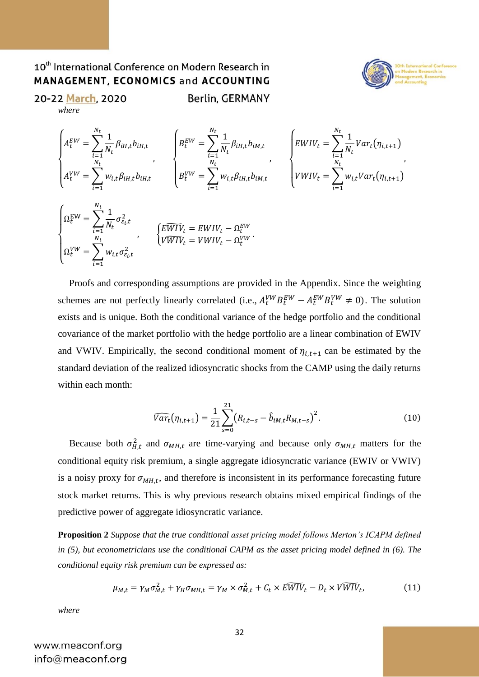

20-22 March, 2020 *where*

**Berlin, GERMANY** 

$$
\begin{cases}\nA_t^{EW} = \sum_{i=1}^{N_t} \frac{1}{N_t} \beta_{iH,t} b_{iH,t} & \begin{cases}\nB_t^{EW} = \sum_{i=1}^{N_t} \frac{1}{N_t} \beta_{iH,t} b_{iM,t} & \begin{cases}\nEWIV_t = \sum_{i=1}^{N_t} \frac{1}{N_t} Var_t(\eta_{i,t+1}) \\
\cdot & \cdot\n\end{cases} \\
A_t^{VW} = \sum_{i=1}^{N_t} w_{i,t} \beta_{iH,t} b_{iH,t} & \begin{cases}\nEWIV_t = \sum_{i=1}^{N_t} \frac{1}{N_t} Var_t(\eta_{i,t+1}) \\
VWIV_t = \sum_{i=1}^{N_t} w_{i,t} Var_t(\eta_{i,t+1})\n\end{cases}\n\end{cases}
$$

$$
\begin{cases}\n\Omega_t^{EW} = \sum_{i=1}^{N_t} \frac{1}{N_t} \sigma_{\varepsilon_i, t}^2 \\
\Omega_t^{VW} = \sum_{i=1}^{N_t} w_{i,t} \sigma_{\varepsilon_i, t}^2\n\end{cases}, \qquad \begin{cases}\nE\overline{WIV}_t = EWIV_t - \Omega_t^{EW} \\
V\overline{WIV}_t = VWIV_t - \Omega_t^{VW}\n\end{cases}.
$$

 Proofs and corresponding assumptions are provided in the Appendix. Since the weighting schemes are not perfectly linearly correlated (i.e.,  $A_t^{VW} B_t^{EW} - A_t^{EW} B_t^{VV} \neq 0$ ). The solution exists and is unique. Both the conditional variance of the hedge portfolio and the conditional covariance of the market portfolio with the hedge portfolio are a linear combination of EWIV and VWIV. Empirically, the second conditional moment of  $\eta_{i,t+1}$  can be estimated by the standard deviation of the realized idiosyncratic shocks from the CAMP using the daily returns within each month:

$$
\widehat{Var_t}(\eta_{i,t+1}) = \frac{1}{21} \sum_{s=0}^{21} (R_{i,t-s} - \widehat{b}_{iM,t} R_{M,t-s})^2.
$$
 (10)

Because both  $\sigma_{H,t}^2$  and  $\sigma_{M,H,t}$  are time-varying and because only  $\sigma_{M,H,t}$  matters for the conditional equity risk premium, a single aggregate idiosyncratic variance (EWIV or VWIV) is a noisy proxy for  $\sigma_{MH,t}$ , and therefore is inconsistent in its performance forecasting future stock market returns. This is why previous research obtains mixed empirical findings of the predictive power of aggregate idiosyncratic variance.

**Proposition 2** *Suppose that the true conditional asset pricing model follows Merton's ICAPM defined in (5), but econometricians use the conditional CAPM as the asset pricing model defined in (6). The conditional equity risk premium can be expressed as:*

$$
\mu_{M,t} = \gamma_M \sigma_{M,t}^2 + \gamma_H \sigma_{MH,t} = \gamma_M \times \sigma_{M,t}^2 + C_t \times E\widetilde{WIV}_t - D_t \times V\widetilde{WIV}_t, \tag{11}
$$

*where*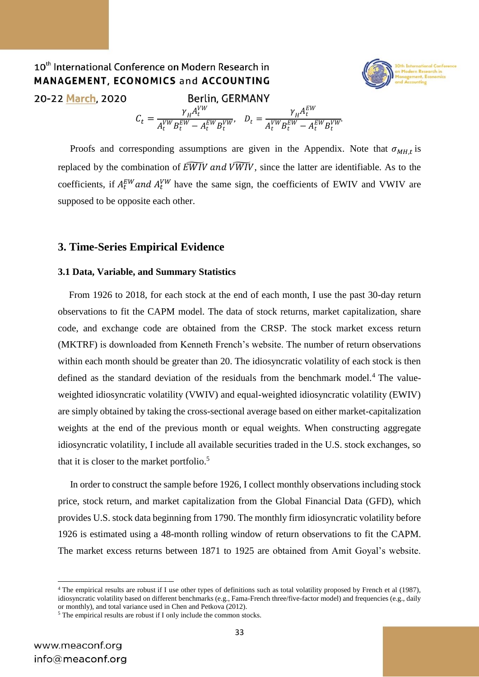#### 10<sup>th</sup> International Conference on Modern Research in **MANAGEMENT, ECONOMICS and ACCOUNTING** 20-22 March, 2020 **Berlin, GERMANY**  $C_t = \frac{\gamma_H A_t^{VW}}{N_{VW} E_W^{VW}}$  $\gamma_{H}A_t^{EW}$  $\frac{1}{A_t^{VW}B_t^{EW}-A_t^{EW}B_t^{VW}}, \quad D_t =$  $A_t^{VW}B_t^{EW}-A_t^{EW}B_t^{VW}$

Proofs and corresponding assumptions are given in the Appendix. Note that  $\sigma_{MH,t}$  is replaced by the combination of  $\widetilde{EWIV}$  and  $\widetilde{VWIV}$ , since the latter are identifiable. As to the coefficients, if  $A_t^{EW}$  and  $A_t^{VW}$  have the same sign, the coefficients of EWIV and VWIV are supposed to be opposite each other.

#### **3. Time-Series Empirical Evidence**

#### **3.1 Data, Variable, and Summary Statistics**

 From 1926 to 2018, for each stock at the end of each month, I use the past 30-day return observations to fit the CAPM model. The data of stock returns, market capitalization, share code, and exchange code are obtained from the CRSP. The stock market excess return (MKTRF) is downloaded from Kenneth French's website. The number of return observations within each month should be greater than 20. The idiosyncratic volatility of each stock is then defined as the standard deviation of the residuals from the benchmark model.<sup>4</sup> The valueweighted idiosyncratic volatility (VWIV) and equal-weighted idiosyncratic volatility (EWIV) are simply obtained by taking the cross-sectional average based on either market-capitalization weights at the end of the previous month or equal weights. When constructing aggregate idiosyncratic volatility, I include all available securities traded in the U.S. stock exchanges, so that it is closer to the market portfolio. 5

 In order to construct the sample before 1926, I collect monthly observations including stock price, stock return, and market capitalization from the Global Financial Data (GFD), which provides U.S. stock data beginning from 1790. The monthly firm idiosyncratic volatility before 1926 is estimated using a 48-month rolling window of return observations to fit the CAPM. The market excess returns between 1871 to 1925 are obtained from Amit Goyal's website.

**.** 



<sup>4</sup> The empirical results are robust if I use other types of definitions such as total volatility proposed by French et al (1987), idiosyncratic volatility based on different benchmarks (e.g., Fama-French three/five-factor model) and frequencies (e.g., daily or monthly), and total variance used in Chen and Petkova (2012).

<sup>5</sup> The empirical results are robust if I only include the common stocks.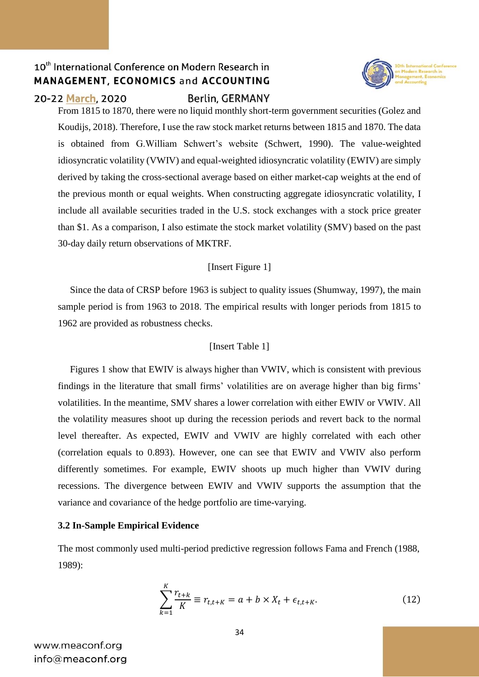

#### 20-22 March, 2020

#### Berlin, GERMANY

From 1815 to 1870, there were no liquid monthly short-term government securities (Golez and Koudijs, 2018). Therefore, I use the raw stock market returns between 1815 and 1870. The data is obtained from G.William Schwert's website (Schwert, 1990). The value-weighted idiosyncratic volatility (VWIV) and equal-weighted idiosyncratic volatility (EWIV) are simply derived by taking the cross-sectional average based on either market-cap weights at the end of the previous month or equal weights. When constructing aggregate idiosyncratic volatility, I include all available securities traded in the U.S. stock exchanges with a stock price greater than \$1. As a comparison, I also estimate the stock market volatility (SMV) based on the past 30-day daily return observations of MKTRF.

#### [Insert Figure 1]

 Since the data of CRSP before 1963 is subject to quality issues (Shumway, 1997), the main sample period is from 1963 to 2018. The empirical results with longer periods from 1815 to 1962 are provided as robustness checks.

### [Insert Table 1]

 Figures 1 show that EWIV is always higher than VWIV, which is consistent with previous findings in the literature that small firms' volatilities are on average higher than big firms' volatilities. In the meantime, SMV shares a lower correlation with either EWIV or VWIV. All the volatility measures shoot up during the recession periods and revert back to the normal level thereafter. As expected, EWIV and VWIV are highly correlated with each other (correlation equals to 0.893). However, one can see that EWIV and VWIV also perform differently sometimes. For example, EWIV shoots up much higher than VWIV during recessions. The divergence between EWIV and VWIV supports the assumption that the variance and covariance of the hedge portfolio are time-varying.

#### **3.2 In-Sample Empirical Evidence**

The most commonly used multi-period predictive regression follows Fama and French (1988, 1989):

$$
\sum_{k=1}^{K} \frac{r_{t+k}}{K} \equiv r_{t,t+K} = a + b \times X_t + \epsilon_{t,t+K}.
$$
\n(12)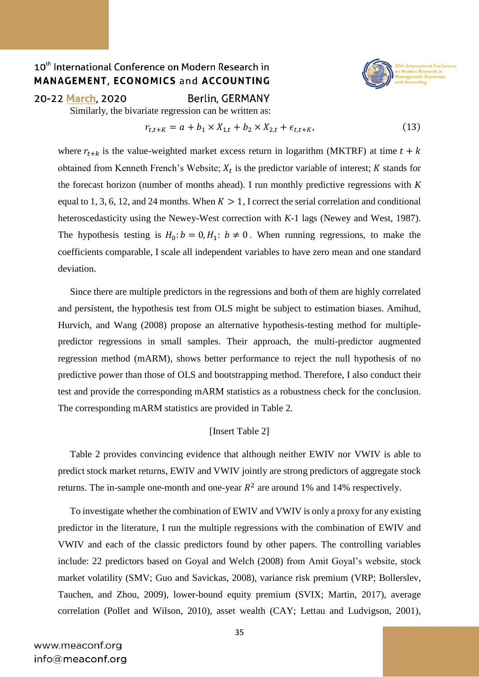

#### 20-22 March, 2020

Berlin, GERMANY

Similarly, the bivariate regression can be written as:

$$
r_{t,t+K} = a + b_1 \times X_{1,t} + b_2 \times X_{2,t} + \epsilon_{t,t+K},
$$
\n(13)

where  $r_{t+k}$  is the value-weighted market excess return in logarithm (MKTRF) at time  $t + k$ obtained from Kenneth French's Website;  $X_t$  is the predictor variable of interest; K stands for the forecast horizon (number of months ahead). I run monthly predictive regressions with *K*  equal to 1, 3, 6, 12, and 24 months. When  $K > 1$ , I correct the serial correlation and conditional heteroscedasticity using the Newey-West correction with *K-*1 lags (Newey and West, 1987). The hypothesis testing is  $H_0: b = 0, H_1: b \neq 0$ . When running regressions, to make the coefficients comparable, I scale all independent variables to have zero mean and one standard deviation.

 Since there are multiple predictors in the regressions and both of them are highly correlated and persistent, the hypothesis test from OLS might be subject to estimation biases. Amihud, Hurvich, and Wang (2008) propose an alternative hypothesis-testing method for multiplepredictor regressions in small samples. Their approach, the multi-predictor augmented regression method (mARM), shows better performance to reject the null hypothesis of no predictive power than those of OLS and bootstrapping method. Therefore, I also conduct their test and provide the corresponding mARM statistics as a robustness check for the conclusion. The corresponding mARM statistics are provided in Table 2.

#### [Insert Table 2]

 Table 2 provides convincing evidence that although neither EWIV nor VWIV is able to predict stock market returns, EWIV and VWIV jointly are strong predictors of aggregate stock returns. The in-sample one-month and one-year  $R^2$  are around 1% and 14% respectively.

 To investigate whether the combination of EWIV and VWIV is only a proxy for any existing predictor in the literature, I run the multiple regressions with the combination of EWIV and VWIV and each of the classic predictors found by other papers. The controlling variables include: 22 predictors based on Goyal and Welch (2008) from Amit Goyal's website, stock market volatility (SMV; Guo and Savickas, 2008), variance risk premium (VRP; Bollerslev, Tauchen, and Zhou, 2009), lower-bound equity premium (SVIX; Martin, 2017), average correlation (Pollet and Wilson, 2010), asset wealth (CAY; Lettau and Ludvigson, 2001),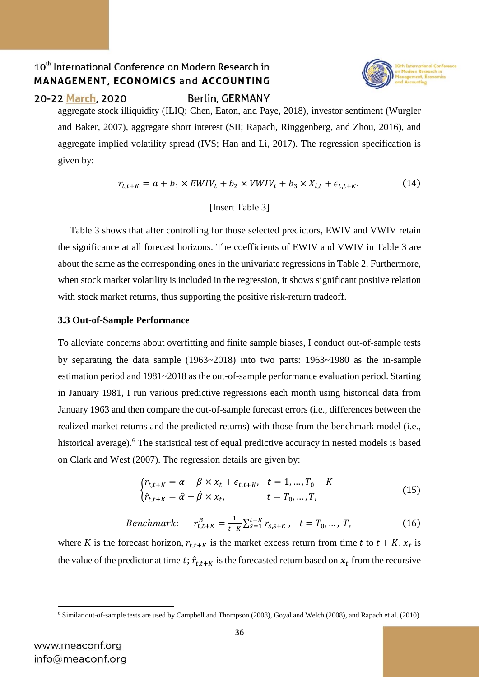

### 20-22 March, 2020

**Berlin, GERMANY** 

aggregate stock illiquidity (ILIQ; Chen, Eaton, and Paye, 2018), investor sentiment (Wurgler and Baker, 2007), aggregate short interest (SII; Rapach, Ringgenberg, and Zhou, 2016), and aggregate implied volatility spread (IVS; Han and Li, 2017). The regression specification is given by:

$$
r_{t,t+K} = a + b_1 \times EWIV_t + b_2 \times VWIV_t + b_3 \times X_{i,t} + \epsilon_{t,t+K}.
$$
 (14)

#### [Insert Table 3]

 Table 3 shows that after controlling for those selected predictors, EWIV and VWIV retain the significance at all forecast horizons. The coefficients of EWIV and VWIV in Table 3 are about the same as the corresponding ones in the univariate regressions in Table 2. Furthermore, when stock market volatility is included in the regression, it shows significant positive relation with stock market returns, thus supporting the positive risk-return tradeoff.

#### **3.3 Out-of-Sample Performance**

To alleviate concerns about overfitting and finite sample biases, I conduct out-of-sample tests by separating the data sample (1963~2018) into two parts: 1963~1980 as the in-sample estimation period and 1981~2018 as the out-of-sample performance evaluation period. Starting in January 1981, I run various predictive regressions each month using historical data from January 1963 and then compare the out-of-sample forecast errors (i.e., differences between the realized market returns and the predicted returns) with those from the benchmark model (i.e., historical average).<sup>6</sup> The statistical test of equal predictive accuracy in nested models is based on Clark and West (2007). The regression details are given by:

$$
\begin{cases} r_{t,t+K} = \alpha + \beta \times x_t + \epsilon_{t,t+K}, & t = 1, \dots, T_0 - K \\ \hat{r}_{t,t+K} = \hat{\alpha} + \hat{\beta} \times x_t, & t = T_0, \dots, T, \end{cases}
$$
(15)

*Benchmark*: 
$$
r_{t,t+K}^B = \frac{1}{t-K} \sum_{s=1}^{t-K} r_{s,s+K}
$$
,  $t = T_0, ..., T$ , (16)

where *K* is the forecast horizon,  $r_{t,t+K}$  is the market excess return from time *t* to  $t + K$ ,  $x_t$  is the value of the predictor at time t;  $\hat{r}_{t,t+K}$  is the forecasted return based on  $x_t$  from the recursive

**<sup>.</sup>** <sup>6</sup> Similar out-of-sample tests are used by Campbell and Thompson (2008), Goyal and Welch (2008), and Rapach et al. (2010).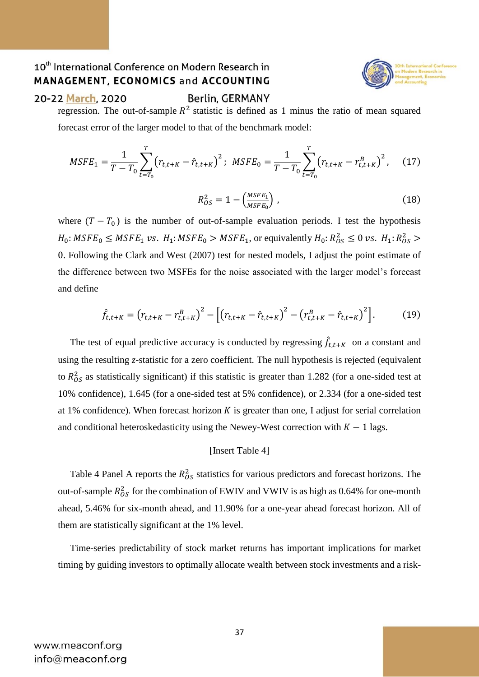

#### 20-22 March, 2020

**Berlin, GERMANY** 

regression. The out-of-sample  $R^2$  statistic is defined as 1 minus the ratio of mean squared forecast error of the larger model to that of the benchmark model:

$$
MSFE_1 = \frac{1}{T - T_0} \sum_{t = T_0}^{T} \left( r_{t, t + K} - \hat{r}_{t, t + K} \right)^2; \quad MSFE_0 = \frac{1}{T - T_0} \sum_{t = T_0}^{T} \left( r_{t, t + K} - r_{t, t + K}^B \right)^2, \quad (17)
$$

$$
R_{OS}^2 = 1 - \left(\frac{MSFE_1}{MSFE_0}\right) \,,\tag{18}
$$

where  $(T - T_0)$  is the number of out-of-sample evaluation periods. I test the hypothesis  $H_0$ :  $MSFE_0 \leq MSFE_1$  vs.  $H_1$ :  $MSFE_0 > MSFE_1$ , or equivalently  $H_0$ :  $R_{OS}^2 \leq 0$  vs.  $H_1$ :  $R_{OS}^2 >$ 0. Following the Clark and West (2007) test for nested models, I adjust the point estimate of the difference between two MSFEs for the noise associated with the larger model's forecast and define

$$
\hat{f}_{t,t+K} = (r_{t,t+K} - r_{t,t+K}^B)^2 - [(r_{t,t+K} - \hat{r}_{t,t+K})^2 - (r_{t,t+K}^B - \hat{r}_{t,t+K})^2].
$$
\n(19)

The test of equal predictive accuracy is conducted by regressing  $\hat{f}_{t,t+K}$  on a constant and using the resulting *z*-statistic for a zero coefficient. The null hypothesis is rejected (equivalent to  $R_{OS}^2$  as statistically significant) if this statistic is greater than 1.282 (for a one-sided test at 10% confidence), 1.645 (for a one-sided test at 5% confidence), or 2.334 (for a one-sided test at 1% confidence). When forecast horizon  $K$  is greater than one, I adjust for serial correlation and conditional heteroskedasticity using the Newey-West correction with  $K - 1$  lags.

#### [Insert Table 4]

Table 4 Panel A reports the  $R_{OS}^2$  statistics for various predictors and forecast horizons. The out-of-sample  $R_{OS}^2$  for the combination of EWIV and VWIV is as high as 0.64% for one-month ahead, 5.46% for six-month ahead, and 11.90% for a one-year ahead forecast horizon. All of them are statistically significant at the 1% level.

 Time-series predictability of stock market returns has important implications for market timing by guiding investors to optimally allocate wealth between stock investments and a risk-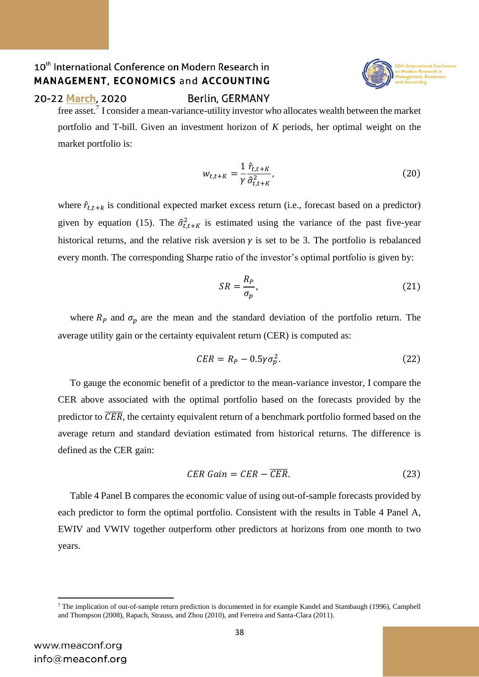

#### 20-22 March, 2020

**Berlin, GERMANY** 

free asset.<sup>7</sup> I consider a mean-variance-utility investor who allocates wealth between the market portfolio and T-bill. Given an investment horizon of *K* periods, her optimal weight on the market portfolio is:

$$
w_{t,t+K} = \frac{1}{\gamma} \frac{\hat{r}_{t,t+K}}{\hat{\sigma}_{t,t+K}^2},\tag{20}
$$

where  $\hat{r}_{t,t+k}$  is conditional expected market excess return (i.e., forecast based on a predictor) given by equation (15). The  $\hat{\sigma}_{t,t+K}^2$  is estimated using the variance of the past five-year historical returns, and the relative risk aversion  $\gamma$  is set to be 3. The portfolio is rebalanced every month. The corresponding Sharpe ratio of the investor's optimal portfolio is given by:

$$
SR = \frac{R_P}{\sigma_p},\tag{21}
$$

where  $R_p$  and  $\sigma_p$  are the mean and the standard deviation of the portfolio return. The average utility gain or the certainty equivalent return (CER) is computed as:

$$
CER = R_P - 0.5\gamma \sigma_p^2. \tag{22}
$$

 To gauge the economic benefit of a predictor to the mean-variance investor, I compare the CER above associated with the optimal portfolio based on the forecasts provided by the predictor to  $\overline{CER}$ , the certainty equivalent return of a benchmark portfolio formed based on the average return and standard deviation estimated from historical returns. The difference is defined as the CER gain:

$$
CER\ Gain = CER - \overline{CER}.
$$
 (23)

 Table 4 Panel B compares the economic value of using out-of-sample forecasts provided by each predictor to form the optimal portfolio. Consistent with the results in Table 4 Panel A, EWIV and VWIV together outperform other predictors at horizons from one month to two years.

**.** 

<sup>7</sup> The implication of out-of-sample return prediction is documented in for example Kandel and Stambaugh (1996), Campbell and Thompson (2008), Rapach, Strauss, and Zhou (2010), and Ferreira and Santa-Clara (2011).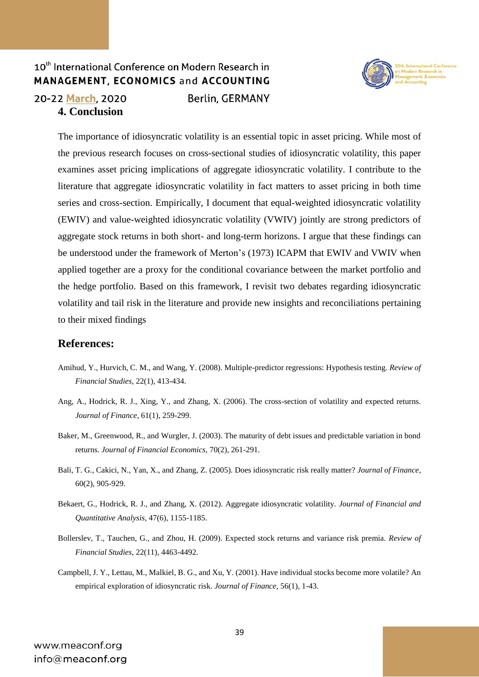### 20-22 March, 2020 **4. Conclusion**

**Berlin, GERMANY** 



The importance of idiosyncratic volatility is an essential topic in asset pricing. While most of the previous research focuses on cross-sectional studies of idiosyncratic volatility, this paper examines asset pricing implications of aggregate idiosyncratic volatility. I contribute to the literature that aggregate idiosyncratic volatility in fact matters to asset pricing in both time series and cross-section. Empirically, I document that equal-weighted idiosyncratic volatility (EWIV) and value-weighted idiosyncratic volatility (VWIV) jointly are strong predictors of aggregate stock returns in both short- and long-term horizons. I argue that these findings can be understood under the framework of Merton's (1973) ICAPM that EWIV and VWIV when applied together are a proxy for the conditional covariance between the market portfolio and the hedge portfolio. Based on this framework, I revisit two debates regarding idiosyncratic volatility and tail risk in the literature and provide new insights and reconciliations pertaining to their mixed findings

### **References:**

- Amihud, Y., Hurvich, C. M., and Wang, Y. (2008). Multiple-predictor regressions: Hypothesis testing. *Review of Financial Studies*, 22(1), 413-434.
- Ang, A., Hodrick, R. J., Xing, Y., and Zhang, X. (2006). The cross-section of volatility and expected returns. *Journal of Finance*, 61(1), 259-299.
- Baker, M., Greenwood, R., and Wurgler, J. (2003). The maturity of debt issues and predictable variation in bond returns. *Journal of Financial Economics*, 70(2), 261-291.
- Bali, T. G., Cakici, N., Yan, X., and Zhang, Z. (2005). Does idiosyncratic risk really matter? *Journal of Finance*, 60(2), 905-929.
- Bekaert, G., Hodrick, R. J., and Zhang, X. (2012). Aggregate idiosyncratic volatility. *Journal of Financial and Quantitative Analysis*, 47(6), 1155-1185.
- Bollerslev, T., Tauchen, G., and Zhou, H. (2009). Expected stock returns and variance risk premia. *Review of Financial Studies*, 22(11), 4463-4492.
- Campbell, J. Y., Lettau, M., Malkiel, B. G., and Xu, Y. (2001). Have individual stocks become more volatile? An empirical exploration of idiosyncratic risk. *Journal of Finance*, 56(1), 1-43.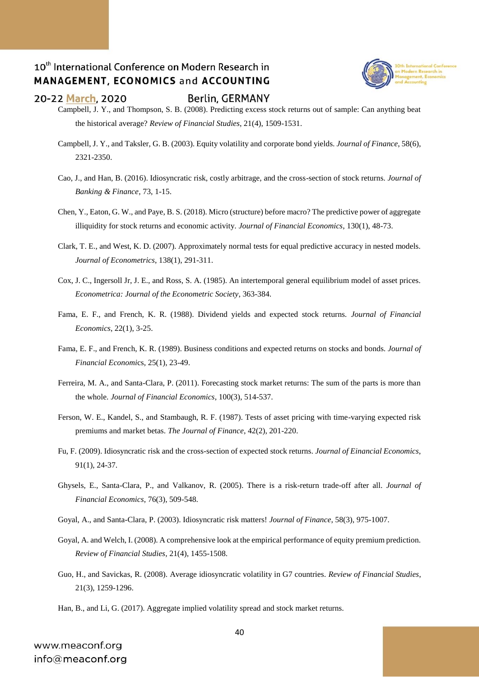

#### 20-22 March, 2020

#### Berlin, GERMANY

- Campbell, J. Y., and Thompson, S. B. (2008). Predicting excess stock returns out of sample: Can anything beat the historical average? *Review of Financial Studies*, 21(4), 1509-1531.
- Campbell, J. Y., and Taksler, G. B. (2003). Equity volatility and corporate bond yields. *Journal of Finance*, 58(6), 2321-2350.
- Cao, J., and Han, B. (2016). Idiosyncratic risk, costly arbitrage, and the cross-section of stock returns. *Journal of Banking & Finance*, 73, 1-15.
- Chen, Y., Eaton, G. W., and Paye, B. S. (2018). Micro (structure) before macro? The predictive power of aggregate illiquidity for stock returns and economic activity. *Journal of Financial Economics*, 130(1), 48-73.
- Clark, T. E., and West, K. D. (2007). Approximately normal tests for equal predictive accuracy in nested models. *Journal of Econometrics*, 138(1), 291-311.
- Cox, J. C., Ingersoll Jr, J. E., and Ross, S. A. (1985). An intertemporal general equilibrium model of asset prices. *Econometrica: Journal of the Econometric Society*, 363-384.
- Fama, E. F., and French, K. R. (1988). Dividend yields and expected stock returns. *Journal of Financial Economics*, 22(1), 3-25.
- Fama, E. F., and French, K. R. (1989). Business conditions and expected returns on stocks and bonds. *Journal of Financial Economi*cs, 25(1), 23-49.
- Ferreira, M. A., and Santa-Clara, P. (2011). Forecasting stock market returns: The sum of the parts is more than the whole. *Journal of Financial Economics*, 100(3), 514-537.
- Ferson, W. E., Kandel, S., and Stambaugh, R. F. (1987). Tests of asset pricing with time-varying expected risk premiums and market betas. *The Journal of Finance*, 42(2), 201-220.
- Fu, F. (2009). Idiosyncratic risk and the cross-section of expected stock returns. *Journal of Einancial Economics*, 91(1), 24-37.
- Ghysels, E., Santa-Clara, P., and Valkanov, R. (2005). There is a risk-return trade-off after all. *Journal of Financial Economics*, 76(3), 509-548.
- Goyal, A., and Santa-Clara, P. (2003). Idiosyncratic risk matters! *Journal of Finance*, 58(3), 975-1007.
- Goyal, A. and Welch, I. (2008). A comprehensive look at the empirical performance of equity premium prediction. *Review of Financial Studies*, 21(4), 1455-1508.
- Guo, H., and Savickas, R. (2008). Average idiosyncratic volatility in G7 countries. *Review of Financial Studies*, 21(3), 1259-1296.
- Han, B., and Li, G. (2017). Aggregate implied volatility spread and stock market returns.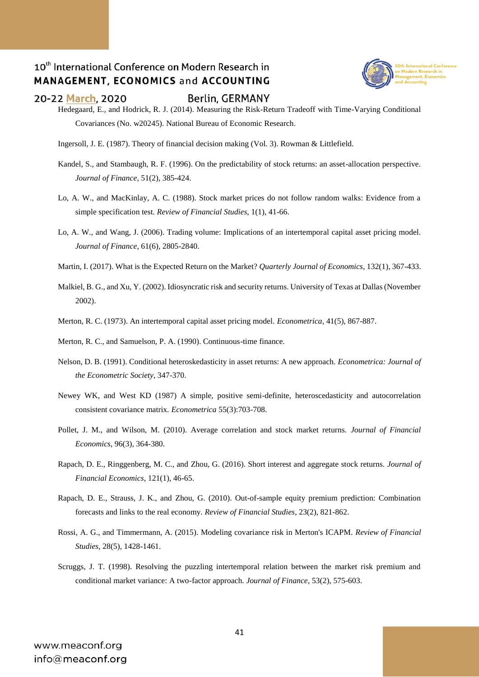

#### 20-22 March, 2020

#### Berlin, GERMANY

Hedegaard, E., and Hodrick, R. J. (2014). Measuring the Risk-Return Tradeoff with Time-Varying Conditional Covariances (No. w20245). National Bureau of Economic Research.

Ingersoll, J. E. (1987). Theory of financial decision making (Vol. 3). Rowman & Littlefield.

- Kandel, S., and Stambaugh, R. F. (1996). On the predictability of stock returns: an asset-allocation perspective. *Journal of Finance*, 51(2), 385-424.
- Lo, A. W., and MacKinlay, A. C. (1988). Stock market prices do not follow random walks: Evidence from a simple specification test. *Review of Financial Studies*, 1(1), 41-66.
- Lo, A. W., and Wang, J. (2006). Trading volume: Implications of an intertemporal capital asset pricing model. *Journal of Finance*, 61(6), 2805-2840.
- Martin, I. (2017). What is the Expected Return on the Market? *Quarterly Journal of Economics*, 132(1), 367-433.
- Malkiel, B. G., and Xu, Y. (2002). Idiosyncratic risk and security returns. University of Texas at Dallas (November 2002).
- Merton, R. C. (1973). An intertemporal capital asset pricing model. *Econometrica*, 41(5), 867-887.
- Merton, R. C., and Samuelson, P. A. (1990). Continuous-time finance.
- Nelson, D. B. (1991). Conditional heteroskedasticity in asset returns: A new approach. *Econometrica: Journal of the Econometric Society*, 347-370.
- Newey WK, and West KD (1987) A simple, positive semi-definite, heteroscedasticity and autocorrelation consistent covariance matrix. *Econometrica* 55(3):703-708.
- Pollet, J. M., and Wilson, M. (2010). Average correlation and stock market returns. *Journal of Financial Economics*, 96(3), 364-380.
- Rapach, D. E., Ringgenberg, M. C., and Zhou, G. (2016). Short interest and aggregate stock returns. *Journal of Financial Economics*, 121(1), 46-65.
- Rapach, D. E., Strauss, J. K., and Zhou, G. (2010). Out-of-sample equity premium prediction: Combination forecasts and links to the real economy. *Review of Financial Studies*, 23(2), 821-862.
- Rossi, A. G., and Timmermann, A. (2015). Modeling covariance risk in Merton's ICAPM. *Review of Financial Studies*, 28(5), 1428-1461.
- Scruggs, J. T. (1998). Resolving the puzzling intertemporal relation between the market risk premium and conditional market variance: A two-factor approach. *Journal of Finance*, 53(2), 575-603.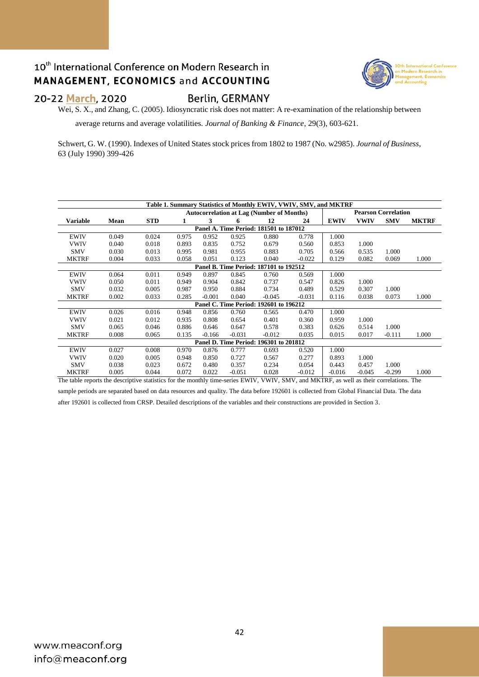

#### 20-22 March, 2020

**Berlin, GERMANY** 

Wei, S. X., and Zhang, C. (2005). Idiosyncratic risk does not matter: A re-examination of the relationship between

average returns and average volatilities. *Journal of Banking & Finance*, 29(3), 603-621.

Schwert, G. W. (1990). Indexes of United States stock prices from 1802 to 1987 (No. w2985). *Journal of Business*, 63 (July 1990) 399-426

| Table 1. Summary Statistics of Monthly EWIV, VWIV, SMV, and MKTRF |                                                                                                                                         |            |                                                  |          |          |                                        |          |             |                            |            |              |  |
|-------------------------------------------------------------------|-----------------------------------------------------------------------------------------------------------------------------------------|------------|--------------------------------------------------|----------|----------|----------------------------------------|----------|-------------|----------------------------|------------|--------------|--|
|                                                                   |                                                                                                                                         |            | <b>Autocorrelation at Lag (Number of Months)</b> |          |          |                                        |          |             | <b>Pearson Correlation</b> |            |              |  |
| Variable                                                          | Mean                                                                                                                                    | <b>STD</b> | 1                                                | 3        | 6        | 12                                     | 24       | <b>EWIV</b> | <b>VWIV</b>                | <b>SMV</b> | <b>MKTRF</b> |  |
| Panel A. Time Period: 181501 to 187012                            |                                                                                                                                         |            |                                                  |          |          |                                        |          |             |                            |            |              |  |
| <b>EWIV</b>                                                       | 0.049                                                                                                                                   | 0.024      | 0.975                                            | 0.952    | 0.925    | 0.880                                  | 0.778    | 1.000       |                            |            |              |  |
| <b>VWIV</b>                                                       | 0.040                                                                                                                                   | 0.018      | 0.893                                            | 0.835    | 0.752    | 0.679                                  | 0.560    | 0.853       | 1.000                      |            |              |  |
| <b>SMV</b>                                                        | 0.030                                                                                                                                   | 0.013      | 0.995                                            | 0.981    | 0.955    | 0.883                                  | 0.705    | 0.566       | 0.535                      | 1.000      |              |  |
| <b>MKTRF</b>                                                      | 0.004                                                                                                                                   | 0.033      | 0.058                                            | 0.051    | 0.123    | 0.040                                  | $-0.022$ | 0.129       | 0.082                      | 0.069      | 1.000        |  |
| Panel B. Time Period: 187101 to 192512                            |                                                                                                                                         |            |                                                  |          |          |                                        |          |             |                            |            |              |  |
| <b>EWIV</b>                                                       | 0.064                                                                                                                                   | 0.011      | 0.949                                            | 0.897    | 0.845    | 0.760                                  | 0.569    | 1.000       |                            |            |              |  |
| <b>VWIV</b>                                                       | 0.050                                                                                                                                   | 0.011      | 0.949                                            | 0.904    | 0.842    | 0.737                                  | 0.547    | 0.826       | 1.000                      |            |              |  |
| <b>SMV</b>                                                        | 0.032                                                                                                                                   | 0.005      | 0.987                                            | 0.950    | 0.884    | 0.734                                  | 0.489    | 0.529       | 0.307                      | 1.000      |              |  |
| <b>MKTRF</b>                                                      | 0.002                                                                                                                                   | 0.033      | 0.285                                            | $-0.001$ | 0.040    | $-0.045$                               | $-0.031$ | 0.116       | 0.038                      | 0.073      | 1.000        |  |
|                                                                   |                                                                                                                                         |            |                                                  |          |          | Panel C. Time Period: 192601 to 196212 |          |             |                            |            |              |  |
| <b>EWIV</b>                                                       | 0.026                                                                                                                                   | 0.016      | 0.948                                            | 0.856    | 0.760    | 0.565                                  | 0.470    | 1.000       |                            |            |              |  |
| <b>VWIV</b>                                                       | 0.021                                                                                                                                   | 0.012      | 0.935                                            | 0.808    | 0.654    | 0.401                                  | 0.360    | 0.959       | 1.000                      |            |              |  |
| <b>SMV</b>                                                        | 0.065                                                                                                                                   | 0.046      | 0.886                                            | 0.646    | 0.647    | 0.578                                  | 0.383    | 0.626       | 0.514                      | 1.000      |              |  |
| <b>MKTRF</b>                                                      | 0.008                                                                                                                                   | 0.065      | 0.135                                            | $-0.166$ | $-0.031$ | $-0.012$                               | 0.035    | 0.015       | 0.017                      | $-0.111$   | 1.000        |  |
|                                                                   | Panel D. Time Period: 196301 to 201812                                                                                                  |            |                                                  |          |          |                                        |          |             |                            |            |              |  |
| <b>EWIV</b>                                                       | 0.027                                                                                                                                   | 0.008      | 0.970                                            | 0.876    | 0.777    | 0.693                                  | 0.520    | 1.000       |                            |            |              |  |
| <b>VWIV</b>                                                       | 0.020                                                                                                                                   | 0.005      | 0.948                                            | 0.850    | 0.727    | 0.567                                  | 0.277    | 0.893       | 1.000                      |            |              |  |
| <b>SMV</b>                                                        | 0.038                                                                                                                                   | 0.023      | 0.672                                            | 0.480    | 0.357    | 0.234                                  | 0.054    | 0.443       | 0.457                      | 1.000      |              |  |
| <b>MKTRF</b>                                                      | 0.005                                                                                                                                   | 0.044      | 0.072                                            | 0.022    | $-0.051$ | 0.028                                  | $-0.012$ | $-0.016$    | $-0.045$                   | $-0.299$   | 1.000        |  |
|                                                                   | The table reports the descriptive statistics for the monthly time-series EWIV, VWIV, SMV, and MKTRF, as well as their correlations. The |            |                                                  |          |          |                                        |          |             |                            |            |              |  |

sample periods are separated based on data resources and quality. The data before 192601 is collected from Global Financial Data. The data

after 192601 is collected from CRSP. Detailed descriptions of the variables and their constructions are provided in Section 3.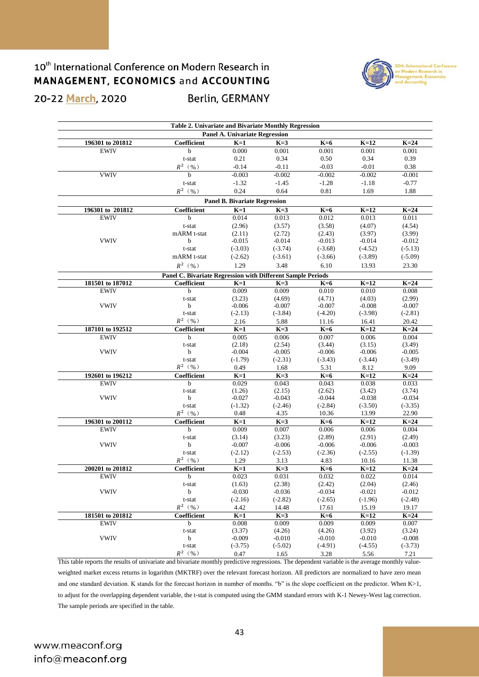### 20-22 March, 2020

**Berlin, GERMANY** 



|                  | Table 2. Univariate and Bivariate Monthly Regression        |                                       |           |           |           |           |
|------------------|-------------------------------------------------------------|---------------------------------------|-----------|-----------|-----------|-----------|
|                  |                                                             | <b>Panel A. Univariate Regression</b> |           |           |           |           |
| 196301 to 201812 | Coefficient                                                 | $K=1$                                 | $K=3$     | $K=6$     | $K=12$    | $K=24$    |
| <b>EWIV</b>      | b                                                           | 0.000                                 | 0.001     | 0.001     | 0.001     | 0.001     |
|                  | t-stat                                                      | 0.21                                  | 0.34      | 0.50      | 0.34      | 0.39      |
|                  | $R^2$ (%)                                                   | $-0.14$                               | $-0.11$   | $-0.03$   | $-0.01$   | 0.38      |
| <b>VWIV</b>      | h                                                           | $-0.003$                              | $-0.002$  | $-0.002$  | $-0.002$  | $-0.001$  |
|                  | t-stat                                                      | $-1.32$                               | $-1.45$   | $-1.28$   | $-1.18$   | $-0.77$   |
|                  | $R^2$ (%)                                                   | 0.24                                  | 0.64      | 0.81      | 1.69      | 1.88      |
|                  |                                                             | <b>Panel B. Bivariate Regression</b>  |           |           |           |           |
| 196301 to 201812 | Coefficient                                                 | $K=1$                                 | $K=3$     | $K=6$     | $K=12$    | $K=24$    |
| <b>EWIV</b>      | $\mathbf b$                                                 | 0.014                                 | 0.013     | 0.012     | 0.013     | 0.011     |
|                  | t-stat                                                      | (2.96)                                | (3.57)    | (3.58)    | (4.07)    | (4.54)    |
|                  | mARM t-stat                                                 | (2.11)                                | (2.72)    | (2.43)    | (3.97)    | (3.99)    |
| <b>VWIV</b>      | b                                                           | $-0.015$                              | $-0.014$  | $-0.013$  | $-0.014$  | $-0.012$  |
|                  | t-stat                                                      | $(-3.03)$                             | $(-3.74)$ | $(-3.68)$ | $(-4.52)$ | $(-5.13)$ |
|                  | mARM t-stat                                                 | $(-2.62)$                             | $(-3.61)$ | $(-3.66)$ | $(-3.89)$ | $(-5.09)$ |
|                  | $R^2$ (%)                                                   | 1.29                                  | 3.48      | 6.10      | 13.93     | 23.30     |
|                  | Panel C. Bivariate Regression with Different Sample Periods |                                       |           |           |           |           |
| 181501 to 187012 | Coefficient                                                 | $K=1$                                 | $K=3$     | $K=6$     | $K=12$    | $K=24$    |
| <b>EWIV</b>      | b                                                           | 0.009                                 | 0.009     | 0.010     | 0.010     | 0.008     |
|                  | t-stat                                                      | (3.23)                                | (4.69)    | (4.71)    | (4.03)    | (2.99)    |
| <b>VWIV</b>      | b                                                           | $-0.006$                              | $-0.007$  | $-0.007$  | $-0.008$  | $-0.007$  |
|                  | t-stat                                                      | $(-2.13)$                             | $(-3.84)$ | $(-4.20)$ | $(-3.98)$ | $(-2.81)$ |
|                  | $R^2$ (%)                                                   | 2.16                                  | 5.88      | 11.16     | 16.41     | 20.42     |
| 187101 to 192512 | Coefficient                                                 | $K=1$                                 | $K=3$     | $K=6$     | $K=12$    | $K=24$    |
|                  |                                                             | 0.005                                 | 0.006     |           | 0.006     | 0.004     |
| <b>EWIV</b>      | b                                                           |                                       |           | 0.007     |           |           |
|                  | t-stat                                                      | (2.18)                                | (2.54)    | (3.44)    | (3.15)    | (3.49)    |
| <b>VWIV</b>      | b                                                           | $-0.004$                              | $-0.005$  | $-0.006$  | $-0.006$  | $-0.005$  |
|                  | t-stat                                                      | $(-1.79)$                             | $(-2.31)$ | $(-3.43)$ | $(-3.44)$ | $(-3.49)$ |
|                  | $R^2$ (%)                                                   | 0.49                                  | 1.68      | 5.31      | 8.12      | 9.09      |
| 192601 to 196212 | Coefficient                                                 | $K=1$                                 | $K=3$     | $K=6$     | $K=12$    | $K=24$    |
| <b>EWIV</b>      | $\mathbf b$                                                 | 0.029                                 | 0.043     | 0.043     | 0.038     | 0.033     |
|                  | $t$ -stat                                                   | (1.26)                                | (2.15)    | (2.62)    | (3.42)    | (3.74)    |
| <b>VWIV</b>      | $\mathbf b$                                                 | $-0.027$                              | $-0.043$  | $-0.044$  | $-0.038$  | $-0.034$  |
|                  | t-stat                                                      | $(-1.32)$                             | $(-2.46)$ | $(-2.84)$ | $(-3.50)$ | $(-3.35)$ |
|                  | $R^2\;$ ( $\%$ )                                            | 0.48                                  | 4.35      | 10.36     | 13.99     | 22.90     |
| 196301 to 200112 | Coefficient                                                 | $K=1$                                 | $K=3$     | $K=6$     | $K=12$    | $K=24$    |
| <b>EWIV</b>      | b                                                           | 0.009                                 | 0.007     | 0.006     | 0.006     | 0.004     |
|                  | t-stat                                                      | (3.14)                                | (3.23)    | (2.89)    | (2.91)    | (2.49)    |
| <b>VWIV</b>      | b                                                           | $-0.007$                              | $-0.006$  | $-0.006$  | $-0.006$  | $-0.003$  |
|                  | t-stat                                                      | $(-2.12)$                             | $(-2.53)$ | $(-2.36)$ | $(-2.55)$ | $(-1.39)$ |
|                  | $R^2$ (%)                                                   | 1.29                                  | 3.13      | 4.83      | 10.16     | 11.38     |
| 200201 to 201812 | Coefficient                                                 | $K=1$                                 | $K=3$     | $K=6$     | $K=12$    | $K=24$    |
| <b>EWIV</b>      | b                                                           | 0.023                                 | 0.031     | 0.032     | 0.022     | 0.014     |
|                  | t-stat                                                      | (1.63)                                | (2.38)    | (2.42)    | (2.04)    | (2.46)    |
| <b>VWIV</b>      | b                                                           | $-0.030$                              | $-0.036$  | $-0.034$  | $-0.021$  | $-0.012$  |
|                  | $t$ -stat                                                   | $(-2.16)$                             | $(-2.82)$ | $(-2.65)$ | $(-1.96)$ | $(-2.48)$ |
|                  | $R^2$ (%)                                                   | 4.42                                  | 14.48     | 17.61     | 15.19     | 19.17     |
| 181501 to 201812 | Coefficient                                                 | $K=1$                                 | $K=3$     | $K=6$     | $K=12$    | $K=24$    |
| <b>EWIV</b>      | b                                                           | 0.008                                 | 0.009     | 0.009     | 0.009     | 0.007     |
|                  | $t$ -stat                                                   | (3.37)                                | (4.26)    | (4.26)    | (3.92)    | (3.24)    |
| <b>VWIV</b>      | $\mathbf b$                                                 | $-0.009$                              | $-0.010$  | $-0.010$  | $-0.010$  | $-0.008$  |
|                  | $t$ -stat                                                   | $(-3.75)$                             | $(-5.02)$ | $(-4.91)$ | $(-4.55)$ | $(-3.73)$ |
|                  | $R^2$ (%)                                                   |                                       |           |           |           |           |
|                  |                                                             | 0.47                                  | 1.65      | 3.28      | 5.56      | 7.21      |

This table reports the results of univariate and bivariate monthly predictive regressions. The dependent variable is the average monthly valueweighted market excess returns in logarithm (MKTRF) over the relevant forecast horizon. All predictors are normalized to have zero mean and one standard deviation. K stands for the forecast horizon in number of months. "b" is the slope coefficient on the predictor. When K>1, to adjust for the overlapping dependent variable, the t-stat is computed using the GMM standard errors with K-1 Newey-West lag correction. The sample periods are specified in the table.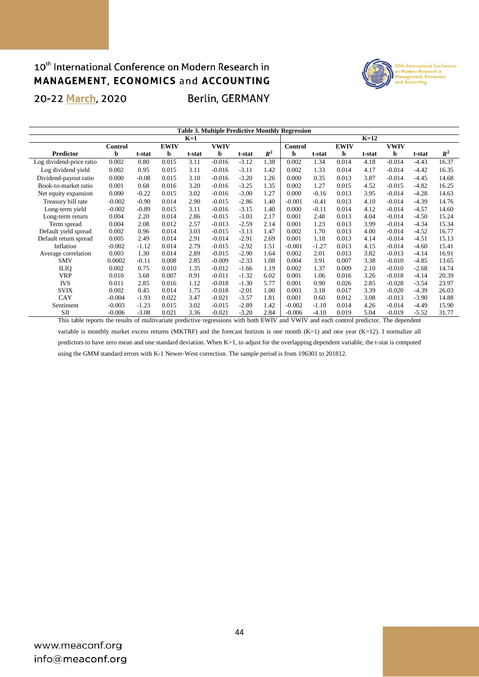### 10<sup>th</sup> International Conference on Modern Research in MANAGEMENT, ECONOMICS and ACCOUNTING 20-22 March, 2020 **Berlin, GERMANY**



|                          | <b>Table 3. Multiple Predictive Monthly Regression</b> |         |             |        |             |         |       |          |         |             |        |             |         |       |
|--------------------------|--------------------------------------------------------|---------|-------------|--------|-------------|---------|-------|----------|---------|-------------|--------|-------------|---------|-------|
|                          |                                                        |         |             | $K=1$  |             |         |       |          |         |             | $K=12$ |             |         |       |
|                          | <b>Control</b>                                         |         | <b>EWIV</b> |        | <b>VWIV</b> |         |       | Control  |         | <b>EWIV</b> |        | <b>VWIV</b> |         |       |
| <b>Predictor</b>         | b                                                      | t-stat  | b           | t-stat | b           | t-stat  | $R^2$ | b        | t-stat  | b           | t-stat | b           | t-stat  | $R^2$ |
| Log dividend-price ratio | 0.002                                                  | 0.80    | 0.015       | 3.11   | $-0.016$    | $-3.12$ | 1.38  | 0.002    | 1.34    | 0.014       | 4.18   | $-0.014$    | $-4.43$ | 16.37 |
| Log dividend yield       | 0.002                                                  | 0.95    | 0.015       | 3.11   | $-0.016$    | $-3.11$ | 1.42  | 0.002    | 1.33    | 0.014       | 4.17   | $-0.014$    | $-4.42$ | 16.35 |
| Dividend-payout ratio    | 0.000                                                  | $-0.08$ | 0.015       | 3.10   | $-0.016$    | $-3.20$ | 1.26  | 0.000    | 0.35    | 0.013       | 3.87   | $-0.014$    | $-4.45$ | 14.68 |
| Book-to-market ratio     | 0.001                                                  | 0.68    | 0.016       | 3.20   | $-0.016$    | $-3.25$ | 1.35  | 0.002    | 1.27    | 0.015       | 4.52   | $-0.015$    | $-4.82$ | 16.25 |
| Net equity expansion     | 0.000                                                  | $-0.22$ | 0.015       | 3.02   | $-0.016$    | $-3.00$ | 1.27  | 0.000    | $-0.16$ | 0.013       | 3.95   | $-0.014$    | $-4.28$ | 14.63 |
| Treasury bill rate       | $-0.002$                                               | $-0.90$ | 0.014       | 2.90   | $-0.015$    | $-2.86$ | 1.40  | $-0.001$ | $-0.41$ | 0.013       | 4.10   | $-0.014$    | $-4.39$ | 14.76 |
| Long-term yield          | $-0.002$                                               | $-0.89$ | 0.015       | 3.11   | $-0.016$    | $-3.15$ | 1.40  | 0.000    | $-0.11$ | 0.014       | 4.12   | $-0.014$    | $-4.57$ | 14.60 |
| Long-term return         | 0.004                                                  | 2.20    | 0.014       | 2.86   | $-0.015$    | $-3.03$ | 2.17  | 0.001    | 2.48    | 0.013       | 4.04   | $-0.014$    | $-4.50$ | 15.24 |
| Term spread              | 0.004                                                  | 2.08    | 0.012       | 2.57   | $-0.013$    | $-2.59$ | 2.14  | 0.001    | 1.23    | 0.013       | 3.99   | $-0.014$    | $-4.34$ | 15.34 |
| Default yield spread     | 0.002                                                  | 0.96    | 0.014       | 3.03   | $-0.015$    | $-3.13$ | 1.47  | 0.002    | 1.70    | 0.013       | 4.00   | $-0.014$    | $-4.52$ | 16.77 |
| Default return spread    | 0.005                                                  | 2.49    | 0.014       | 2.91   | $-0.014$    | $-2.91$ | 2.69  | 0.001    | 1.18    | 0.013       | 4.14   | $-0.014$    | $-4.51$ | 15.13 |
| Inflation                | $-0.002$                                               | $-1.12$ | 0.014       | 2.79   | $-0.015$    | $-2.92$ | 1.51  | $-0.001$ | $-1.27$ | 0.013       | 4.15   | $-0.014$    | $-4.60$ | 15.41 |
| Average correlation      | 0.003                                                  | 1.30    | 0.014       | 2.89   | $-0.015$    | $-2.90$ | 1.64  | 0.002    | 2.01    | 0.013       | 3.82   | $-0.013$    | $-4.14$ | 16.91 |
| <b>SMV</b>               | 0.0002                                                 | $-0.11$ | 0.008       | 2.85   | $-0.009$    | $-2.33$ | 1.08  | 0.004    | 3.91    | 0.007       | 3.38   | $-0.010$    | $-4.85$ | 13.65 |
| <b>ILIQ</b>              | 0.002                                                  | 0.75    | 0.010       | 1.35   | $-0.012$    | $-1.66$ | 1.19  | 0.002    | 1.37    | 0.009       | 2.10   | $-0.010$    | $-2.68$ | 14.74 |
| <b>VRP</b>               | 0.010                                                  | 3.68    | 0.007       | 0.91   | $-0.011$    | $-1.32$ | 6.02  | 0.001    | 1.06    | 0.016       | 3.26   | $-0.018$    | $-4.14$ | 20.39 |
| <b>IVS</b>               | 0.011                                                  | 2.85    | 0.016       | 1.12   | $-0.018$    | $-1.30$ | 5.77  | 0.001    | 0.90    | 0.026       | 2.85   | $-0.028$    | $-3.54$ | 23.97 |
| <b>SVIX</b>              | 0.002                                                  | 0.45    | 0.014       | 1.75   | $-0.018$    | $-2.01$ | 1.00  | 0.003    | 3.18    | 0.017       | 3.39   | $-0.020$    | $-4.39$ | 26.03 |
| CAY                      | $-0.004$                                               | $-1.93$ | 0.022       | 3.47   | $-0.021$    | $-3.57$ | 1.81  | 0.001    | 0.60    | 0.012       | 3.08   | $-0.013$    | $-3.90$ | 14.88 |
| Sentiment                | $-0.003$                                               | $-1.23$ | 0.015       | 3.02   | $-0.015$    | $-2.89$ | 1.42  | $-0.002$ | $-1.10$ | 0.014       | 4.26   | $-0.014$    | $-4.49$ | 15.90 |
| S <sub>II</sub>          | $-0.006$                                               | $-3.08$ | 0.021       | 3.36   | $-0.021$    | $-3.20$ | 2.84  | $-0.006$ | $-4.10$ | 0.019       | 5.04   | $-0.019$    | $-5.52$ | 31.77 |

This table reports the results of multivariate predictive regressions with both EWIV and VWIV and each control predictor. The dependent variable is monthly market excess returns (MKTRF) and the forecast horizon is one month (K=1) and one year (K=12). I normalize all predictors to have zero mean and one standard deviation. When K>1, to adjust for the overlapping dependent variable, the t-stat is computed using the GMM standard errors with K-1 Newer-West correction. The sample period is from 196301 to 201812.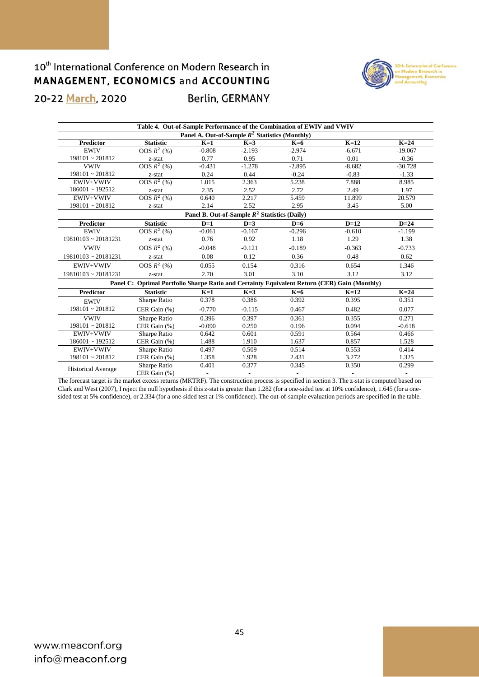

**Berlin, GERMANY** 

| Table 4. Out-of-Sample Performance of the Combination of EWIV and VWIV |                                                                                              |          |          |          |          |           |  |  |  |  |  |
|------------------------------------------------------------------------|----------------------------------------------------------------------------------------------|----------|----------|----------|----------|-----------|--|--|--|--|--|
| Panel A. Out-of-Sample $R^2$ Statistics (Monthly)                      |                                                                                              |          |          |          |          |           |  |  |  |  |  |
| <b>Predictor</b>                                                       | <b>Statistic</b>                                                                             | $K=1$    | $K=3$    | $K=6$    | $K=12$   | $K=24$    |  |  |  |  |  |
| <b>EWIV</b>                                                            | $OOS R2$ (%)                                                                                 | $-0.808$ | $-2.193$ | $-2.974$ | $-6.671$ | $-19.067$ |  |  |  |  |  |
| $198101 \sim 201812$                                                   | z-stat                                                                                       | 0.77     | 0.95     | 0.71     | 0.01     | $-0.36$   |  |  |  |  |  |
| <b>VWIV</b>                                                            | OOS $R^2$ (%)                                                                                | $-0.431$ | $-1.278$ | $-2.895$ | $-8.682$ | $-30.728$ |  |  |  |  |  |
| $198101 \sim 201812$                                                   | z-stat                                                                                       | 0.24     | 0.44     | $-0.24$  | $-0.83$  | $-1.33$   |  |  |  |  |  |
| EWIV+VWIV                                                              | OOS $R^2$ (%)                                                                                | 1.015    | 2.363    | 5.238    | 7.888    | 8.985     |  |  |  |  |  |
| $186001 \sim 192512$                                                   | z-stat                                                                                       | 2.35     | 2.52     | 2.72     | 2.49     | 1.97      |  |  |  |  |  |
| EWIV+VWIV                                                              | OOS $R^2$ (%)                                                                                | 0.640    | 2.217    | 5.459    | 11.899   | 20.579    |  |  |  |  |  |
| $198101 \sim 201812$                                                   | z-stat                                                                                       | 2.14     | 2.52     | 2.95     | 3.45     | 5.00      |  |  |  |  |  |
| Panel B. Out-of-Sample $R^2$ Statistics (Daily)                        |                                                                                              |          |          |          |          |           |  |  |  |  |  |
| <b>Predictor</b>                                                       | <b>Statistic</b>                                                                             | $D=1$    | $D=3$    | $D=6$    | $D=12$   | $D=24$    |  |  |  |  |  |
| <b>EWIV</b>                                                            | OOS $R^2$ (%)                                                                                | $-0.061$ | $-0.167$ | $-0.296$ | $-0.610$ | $-1.199$  |  |  |  |  |  |
| $19810103 \approx 20181231$                                            | z-stat                                                                                       | 0.76     | 0.92     | 1.18     | 1.29     | 1.38      |  |  |  |  |  |
| <b>VWIV</b>                                                            | OOS $R^2$ (%)                                                                                | $-0.048$ | $-0.121$ | $-0.189$ | $-0.363$ | $-0.733$  |  |  |  |  |  |
| $19810103 \approx 20181231$                                            | z-stat                                                                                       | 0.08     | 0.12     | 0.36     | 0.48     | 0.62      |  |  |  |  |  |
| EWIV+VWIV                                                              | OOS $R^2$ (%)                                                                                | 0.055    | 0.154    | 0.316    | 0.654    | 1.346     |  |  |  |  |  |
| $19810103 \approx 20181231$                                            | z-stat                                                                                       | 2.70     | 3.01     | 3.10     | 3.12     | 3.12      |  |  |  |  |  |
|                                                                        | Panel C: Optimal Portfolio Sharpe Ratio and Certainty Equivalent Return (CER) Gain (Monthly) |          |          |          |          |           |  |  |  |  |  |
| <b>Predictor</b>                                                       | <b>Statistic</b>                                                                             | $K=1$    | $K=3$    | $K=6$    | $K=12$   | $K=24$    |  |  |  |  |  |
| <b>EWIV</b>                                                            | Sharpe Ratio                                                                                 | 0.378    | 0.386    | 0.392    | 0.395    | 0.351     |  |  |  |  |  |
| $198101 \sim 201812$                                                   | CER Gain (%)                                                                                 | $-0.770$ | $-0.115$ | 0.467    | 0.482    | 0.077     |  |  |  |  |  |
| <b>VWIV</b>                                                            | Sharpe Ratio                                                                                 | 0.396    | 0.397    | 0.361    | 0.355    | 0.271     |  |  |  |  |  |
| $198101 \sim 201812$                                                   | CER Gain (%)                                                                                 | $-0.090$ | 0.250    | 0.196    | 0.094    | $-0.618$  |  |  |  |  |  |
| EWIV+VWIV                                                              | Sharpe Ratio                                                                                 | 0.642    | 0.601    | 0.591    | 0.564    | 0.466     |  |  |  |  |  |
| $186001 \sim 192512$                                                   | CER Gain (%)                                                                                 | 1.488    | 1.910    | 1.637    | 0.857    | 1.528     |  |  |  |  |  |
| EWIV+VWIV                                                              | Sharpe Ratio                                                                                 | 0.497    | 0.509    | 0.514    | 0.553    | 0.414     |  |  |  |  |  |
| $198101 \sim 201812$                                                   | CER Gain (%)                                                                                 | 1.358    | 1.928    | 2.431    | 3.272    | 1.325     |  |  |  |  |  |
|                                                                        | Sharpe Ratio                                                                                 | 0.401    | 0.377    | 0.345    | 0.350    | 0.299     |  |  |  |  |  |
| <b>Historical Average</b>                                              | CER Gain (%)                                                                                 |          |          |          |          |           |  |  |  |  |  |

The forecast target is the market excess returns (MKTRF). The construction process is specified in section 3. The z-stat is computed based on Clark and West (2007), I reject the null hypothesis if this z-stat is greater than 1.282 (for a one-sided test at 10% confidence), 1.645 (for a onesided test at 5% confidence), or 2.334 (for a one-sided test at 1% confidence). The out-of-sample evaluation periods are specified in the table.